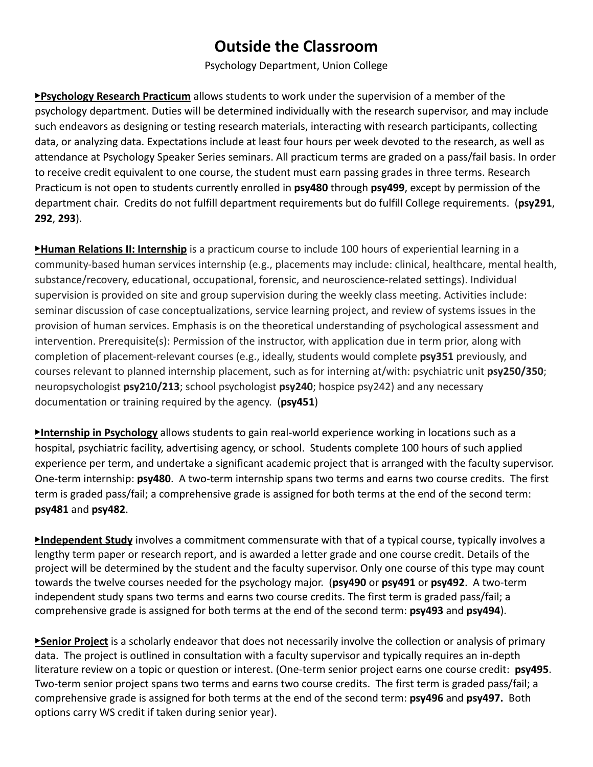## **Outside the Classroom**

## Psychology Department, Union College

▶**Psychology Research Practicum** allows students to work under the supervision of a member of the psychology department. Duties will be determined individually with the research supervisor, and may include such endeavors as designing or testing research materials, interacting with research participants, collecting data, or analyzing data. Expectations include at least four hours per week devoted to the research, as well as attendance at Psychology Speaker Series seminars. All practicum terms are graded on a pass/fail basis. In order to receive credit equivalent to one course, the student must earn passing grades in three terms. Research Practicum is not open to students currently enrolled in **psy480** through **psy499**, except by permission of the department chair. Credits do not fulfill department requirements but do fulfill College requirements. (**psy291**, **292**, **293**).

**Human Relations II: Internship** is a practicum course to include 100 hours of experiential learning in a community-based human services internship (e.g., placements may include: clinical, healthcare, mental health, substance/recovery, educational, occupational, forensic, and neuroscience-related settings). Individual supervision is provided on site and group supervision during the weekly class meeting. Activities include: seminar discussion of case conceptualizations, service learning project, and review of systems issues in the provision of human services. Emphasis is on the theoretical understanding of psychological assessment and intervention. Prerequisite(s): Permission of the instructor, with application due in term prior, along with completion of placement-relevant courses (e.g., ideally, students would complete **psy351** previously, and courses relevant to planned internship placement, such as for interning at/with: psychiatric unit **psy250/350**; neuropsychologist **psy210/213**; school psychologist **psy240**; hospice psy242) and any necessary documentation or training required by the agency. (**psy451**)

▶**Internship in Psychology** allows students to gain real-world experience working in locations such as a hospital, psychiatric facility, advertising agency, or school. Students complete 100 hours of such applied experience per term, and undertake a significant academic project that is arranged with the faculty supervisor. One-term internship: **psy480**. A two-term internship spans two terms and earns two course credits. The first term is graded pass/fail; a comprehensive grade is assigned for both terms at the end of the second term: **psy481** and **psy482**.

▶**Independent Study** involves a commitment commensurate with that of a typical course, typically involves a lengthy term paper or research report, and is awarded a letter grade and one course credit. Details of the project will be determined by the student and the faculty supervisor. Only one course of this type may count towards the twelve courses needed for the psychology major. (**psy490** or **psy491** or **psy492**. A two-term independent study spans two terms and earns two course credits. The first term is graded pass/fail; a comprehensive grade is assigned for both terms at the end of the second term: **psy493** and **psy494**).

▶**Senior Project** is a scholarly endeavor that does not necessarily involve the collection or analysis of primary data. The project is outlined in consultation with a faculty supervisor and typically requires an in-depth literature review on a topic or question or interest. (One-term senior project earns one course credit: **psy495**. Two-term senior project spans two terms and earns two course credits. The first term is graded pass/fail; a comprehensive grade is assigned for both terms at the end of the second term: **psy496** and **psy497.** Both options carry WS credit if taken during senior year).